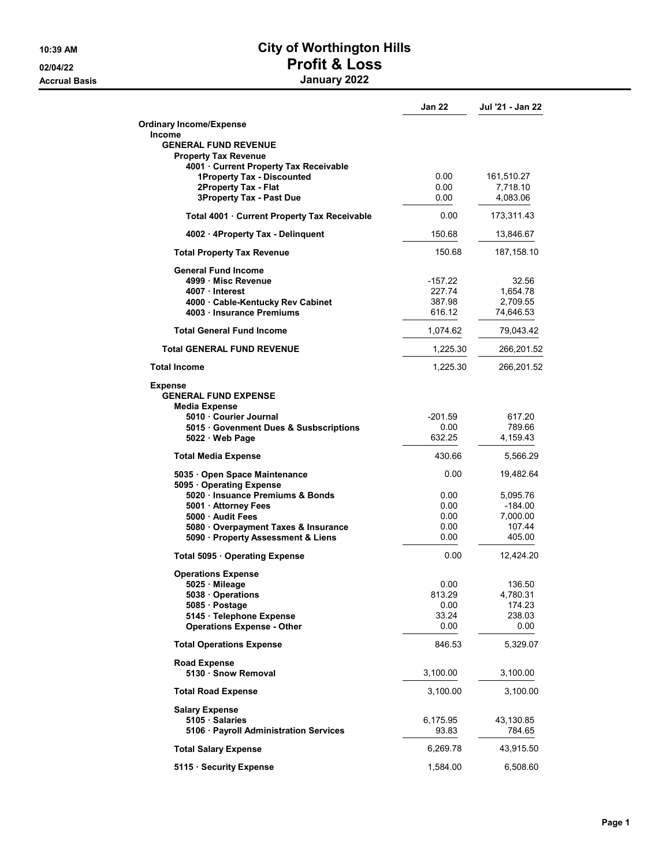## 10:39 AM City of Worthington Hills 02/04/22 **Profit & Loss** Accrual Basis January 2022

|                                                                | Jan 22        | Jul '21 - Jan 22       |
|----------------------------------------------------------------|---------------|------------------------|
| <b>Ordinary Income/Expense</b><br><b>Income</b>                |               |                        |
| <b>GENERAL FUND REVENUE</b><br><b>Property Tax Revenue</b>     |               |                        |
| 4001 Current Property Tax Receivable                           |               |                        |
| 1Property Tax - Discounted                                     | 0.00<br>0.00  | 161,510.27<br>7,718.10 |
| 2Property Tax - Flat<br><b>3Property Tax - Past Due</b>        | 0.00          | 4,083.06               |
| Total 4001 · Current Property Tax Receivable                   | 0.00          | 173,311.43             |
| 4002 · 4Property Tax - Delinguent                              | 150.68        | 13,846.67              |
| <b>Total Property Tax Revenue</b>                              | 150.68        | 187,158.10             |
| <b>General Fund Income</b>                                     |               |                        |
| 4999 Misc Revenue                                              | -157.22       | 32.56                  |
| 4007 Interest                                                  | 227.74        | 1,654.78               |
| 4000 Cable-Kentucky Rev Cabinet                                | 387.98        | 2,709.55               |
| 4003 Insurance Premiums                                        | 616.12        | 74,646.53              |
| <b>Total General Fund Income</b>                               | 1,074.62      | 79,043.42              |
| <b>Total GENERAL FUND REVENUE</b>                              | 1,225.30      | 266,201.52             |
| <b>Total Income</b>                                            | 1,225.30      | 266,201.52             |
| <b>Expense</b><br><b>GENERAL FUND EXPENSE</b><br>Media Expense |               |                        |
| 5010 Courier Journal                                           | -201.59       | 617.20                 |
| 5015 Govenment Dues & Susbscriptions                           | 0.00          | 789.66                 |
| $5022 \cdot$ Web Page                                          | 632.25        | 4,159.43               |
| <b>Total Media Expense</b>                                     | 430.66        | 5,566.29               |
| 5035 · Open Space Maintenance<br>5095 · Operating Expense      | 0.00          | 19,482.64              |
| 5020 Insuance Premiums & Bonds                                 | 0.00          | 5,095.76               |
| 5001 · Attorney Fees                                           | 0.00          | $-184.00$              |
| 5000 Audit Fees                                                | 0.00          | 7,000.00               |
| 5080 Overpayment Taxes & Insurance                             | 0.00          | 107.44                 |
| 5090 · Property Assessment & Liens                             | 0.00          | 405.00                 |
| Total 5095 · Operating Expense                                 | 0.00          | 12,424.20              |
| <b>Operations Expense</b>                                      |               |                        |
| 5025 Mileage                                                   | 0.00          | 136.50                 |
| 5038 Operations                                                | 813.29        | 4,780.31               |
| 5085 · Postage                                                 | 0.00          | 174.23                 |
| 5145 · Telephone Expense<br><b>Operations Expense - Other</b>  | 33.24<br>0.00 | 238.03<br>0.00         |
| <b>Total Operations Expense</b>                                | 846.53        | 5,329.07               |
|                                                                |               |                        |
| <b>Road Expense</b><br>5130 · Snow Removal                     | 3,100.00      | 3,100.00               |
| <b>Total Road Expense</b>                                      | 3,100.00      | 3,100.00               |
| <b>Salary Expense</b>                                          |               |                        |
| 5105 Salaries                                                  | 6,175.95      | 43,130.85              |
| 5106 · Payroll Administration Services                         | 93.83         | 784.65                 |
| <b>Total Salary Expense</b>                                    | 6,269.78      | 43,915.50              |
| 5115 · Security Expense                                        | 1,584.00      | 6,508.60               |